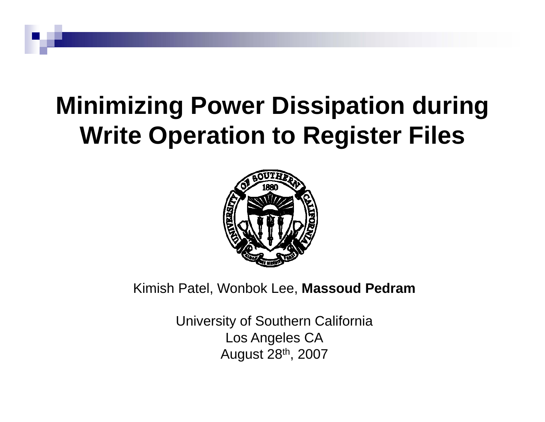# **Minimizing Power Dissipation during Write Operation to Register Files**



Kimish Patel, Wonbok Lee, **Massoud Pedram** 

University of Southern California Los An geles C A August 28th, 2007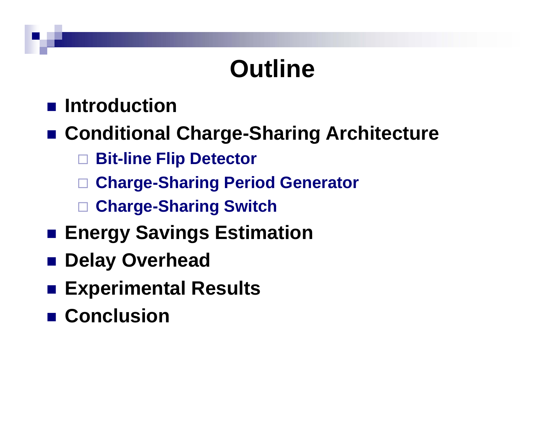# **Outline**

## **■ Introduction**

## $\blacksquare$  **Conditional Charge-Sharing Architecture**

- $\Box$ **Bit-line Flip Detector**
- $\Box$ **Charge-Sharing Period Generator**
- $\Box$ **Charge-Sharing Switch**
- **Energy Savings Estimation**
- Delay Overhead
- **Experimental Results**
- Conclusion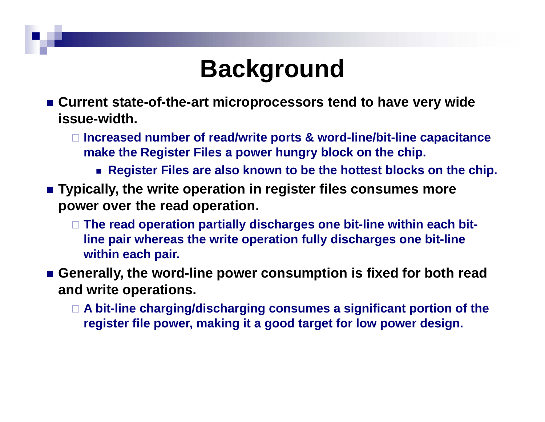# **Background**

- Current state-of-the-art microprocessors tend to have very wide **issue-width.**
	- **Increased number of read/write ports & word-line/bit-line capacitance make the Register Files a power hungry block on the chip.**
		- **Register Files are also known to be the hottest blocks on the chip.**
- $\blacksquare$  Typically, the write operation in register files consumes more **power over the read operation.**
	- **The read operation partially discharges one bit-line within each bit**line pair whereas the write operation fully discharges one bit-line **within each pair.**
- **Generally, the word-line power consumption is fixed for both read and write operations operations.** 
	- **A bit-line charging/discharging consumes a significant portion of the register file power, making it a good target for low power design.**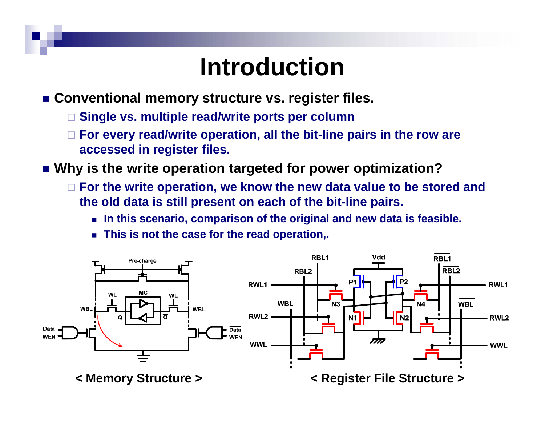# **Introduction**

■ Conventional memory structure vs. register files.

- $\Box$ **Single vs. multiple read/write ports per column**
- $\Box$  For every read/write operation, all the bit-line pairs in the row are **accessed in register files.**
- **Why is the write operation targeted for power optimization?**
	- $\Box$  For the write operation, we know the new data value to be stored and **the old data is still present on each of the bit-line pairs.** 
		- **In this scenario, comparison of the original and new data is feasible.**
		- **This is not the case for the read operation,.**

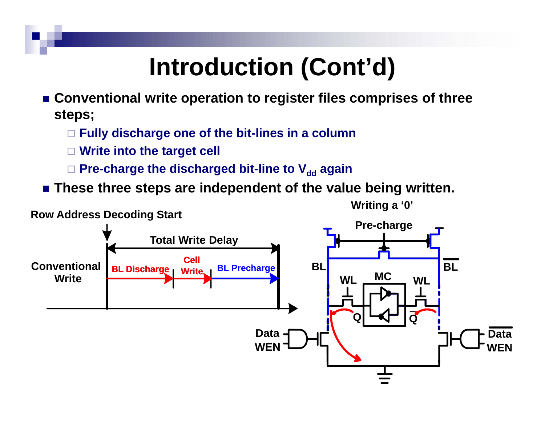# **Introduction (Cont'd)**

- **Conventional write operation to register files comprises of three steps;**
	- **Fully discharge one of the bit bit-lines in <sup>a</sup> column lines**
	- $\Box$ **Write into the target cell**
	- □ Pre-charge the discharged bit-line to V<sub>dd</sub> again
- These three steps are independent of the value being written.

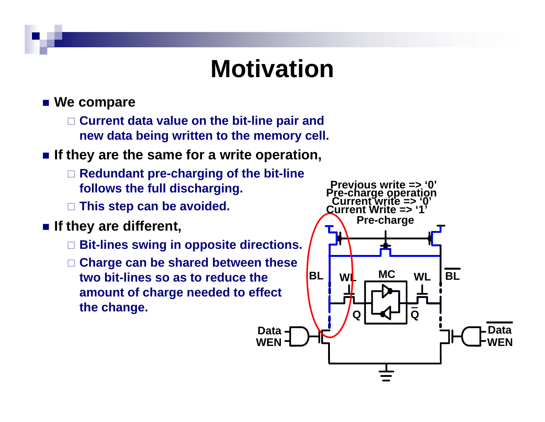# **Motivation**

- We compare
	- **Current data value on the bit-line pair and new d b i i h ll data being written to the memory cell.**
- **If they are the same for a write operation,**
	- **Redundant pre-charging of the bit-line**  follows the full discharging. The Previous write => '0'
	- **This step can be avoided.**
- - **Bit-lines swing in opposite directions.**
	- П **Charge can be shared between these two bit-lines so as to reduce the amount of charge needed to effect the change.**

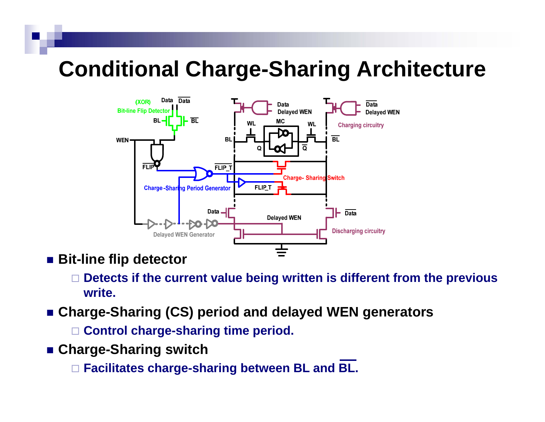## **Conditional Charge-Sharing Architecture**



- Bit-line flip detector
	- **Detects if the current value being written is different from the previous write.**
- **Charge-Sharing (CS) period and delayed WEN generators**

**Control charge-sharing time period.**

**Charge-Sharing switch**

**Facilitates charge-sharing between BL and BL.**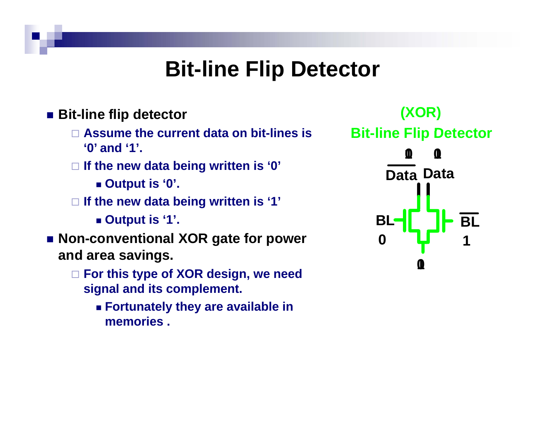## **Bit-line Flip Detector**

#### ■ Bit-line flip detector

- **Assume the current data on bit lines is bit-lines Bit'0' and '1'.**
- **If the new data being written is '0'**
	-
- **If the new data being written is '1'**
	- **Output is '1'.**
- **Non conventional XOR gate for power Non-conventional 0and area savings.**
	- **For this type of XOR design, we need signal and its complement complement.**
		- **Fortunately they are available in memories .**

**(XOR) line Flip Detector Bit-line nic ficw data being written is verified as a position of <b>Data** Data<br>■ Output is '0'. **10 10BL**L**eil iid** Bl **101**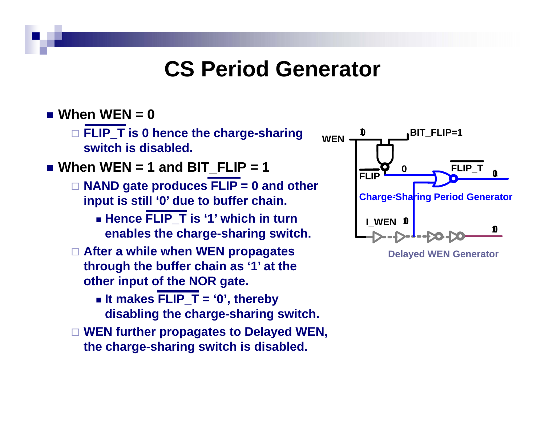### **CS Period Generator**

#### **When WEN = 0**

 **FLIP T is 0 hence the charge \_ -sharing sharing10 BIT FLIP=1 switch is disabled.**

#### **When WEN = 1 and BIT\_FLIP = 1**

- **NAND gate produces FLIP <sup>=</sup> 0 and other and input is still '0' due to buffer chain.**
	- **Hence FLIP\_T is '1' which in turn enables the charge -sharing switch. I\_WEN sharing**
- **After a while when WEN propagates through the buffer chain as '1' at the other input of the NOR gate.**
	- **It makes FLIP\_T = '0', thereby disabling the charge-sharing switch.**
- **WEN further propagates to Delayed WEN,**  the charge-sharing switch is disabled.



**Delayed WEN Generator**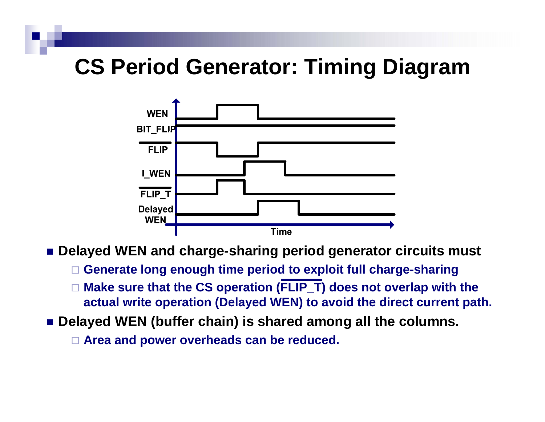## **CS Period Generator: Timin g g Dia gram**



- **Delayed WEN and charge-sharing period generator circuits must**
	- **Generate long enough time period to exploit full charge-sharing**
	- □  $\Box$  Make sure that the CS operation (FLIP\_T) does not overlap with the **actual write operation (Delayed WEN) to avoid the direct current path.**
- **Delayed WEN (buffer chain) is shared among all the columns.**
	- **Area and power overheads can be reduced. power**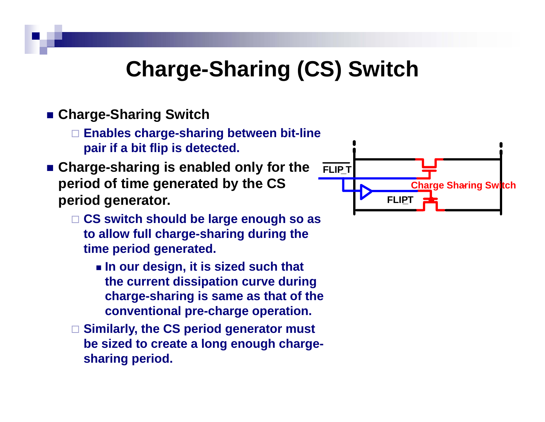## **Charge-Sharing (CS) Switch**

#### ■ Charge-Sharing Switch

- **Enables charge charge-sharing between bit sharing bit-line pair if a bit flip is detected.**
- Charge-sharing is enabled only for the **period** of time generated by the CS **Charge Charge** Sharing Switch **period generator.**
	- **CS switch should be large enough so as to allow full charge-sharing during the charge sharing time period generated.**
		- **In our design, it is sized such that the current dissipation curve during charge-sharing is same as that of the conventional pre-charge operation.**
	- **Similarly, the CS period generator must be sized to create <sup>a</sup> long enough charge chargesharing period.**

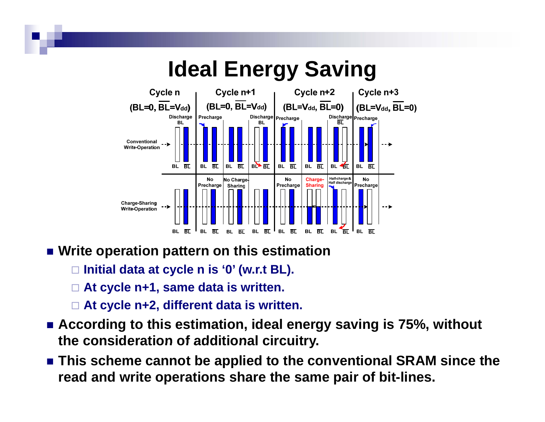

#### **Write operation pattern on this estimation**

- **Initial data at cycle n is '0' (w.r.t BL).**
- **At cycle n+1, same data is written.**
- **At cycle n+2, different data is written.**
- **According to this estimation, ideal energy saving is 75%, without the consideration of additional circuitry circuitry.**
- **This scheme cannot be applied to the conventional SRAM since the read and write operations share the same pair of bit-lines.**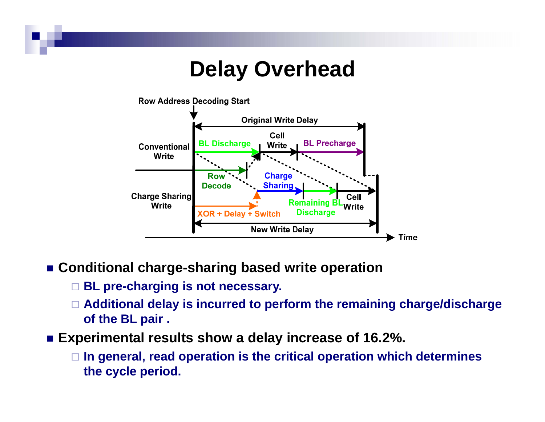## **Delay Overhead**



- **Conditional charge-sharing based write operation**
	- **BL p er -c <sup>a</sup> g g <sup>s</sup> ot ecessa y harging is not necessary.**
	- **Additional delay is incurred to perform the remaining charge/discharge of the BL pair .**
- Experimental results show a delay increase of 16.2%.
	- **In general, read operation is the critical operation which determines the cycle period.**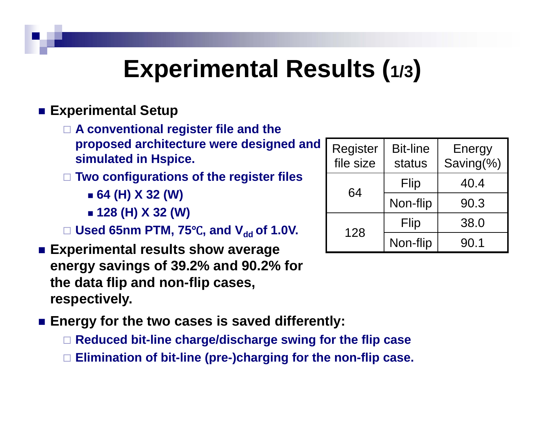## **Experimental Results (1/3)**

#### **■ Experimental Setup**

 **A conventional register file and the proposed architecture were designed and simulated in Hspice.**

**Two configurations of the register files**

- **64 (H) X 32 (W)**
- **128 (H) X 32 (W)**

□ Used 65nm PTM, 75°C, and V<sub>dd</sub> of 1.0V.  $\begin{array}{|c|c|c|c|c|}\n\hline\n1 & 28 & & \text{flip} & & 38.0 & \text{ots} \\
\hline\n\end{array}$ 

- **Experimental results show average energy savings of 39.2% and 90.2% for the data flip and non-flip cases, respectively.**
- Energy for the two cases is saved differently:
	- **Reduced bit bit-line charge/discharge swing for the flip case line**
	- **Elimination of bit-line (pre-)charging for the non-flip case.**

| Register<br>file size | <b>Bit-line</b><br>status | <b>Energy</b><br>Saving(%) |
|-----------------------|---------------------------|----------------------------|
| 64                    | Flip                      | 40.4                       |
|                       | Non-flip                  | 90.3                       |
| 128                   | Flip                      | 38.0                       |
|                       | Non-flip                  | 90.1                       |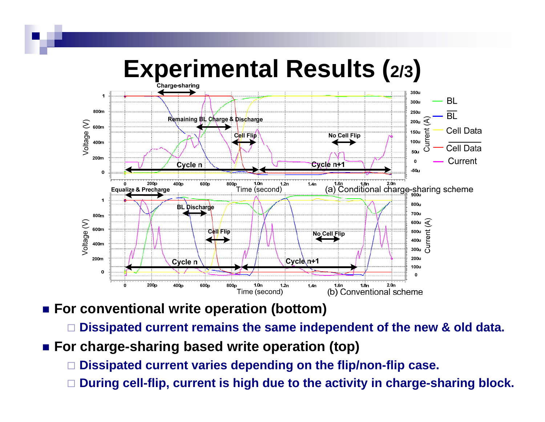

- For conventional write operation (bottom)
	- □ **Dissipated current remains the same independent of the new & old data.**
- **F h or c arge-sh i b d it ti (t ) haring based write operation (top)**
	- □ **Dissipated current varies depending on the flip/non-flip case.**
	- □ **During cell-flip, current is high due to the activity in charge-sharing block.**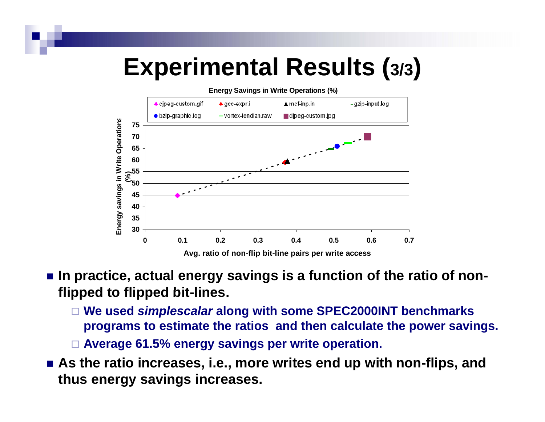# **Exp ( erimental Results (3/3)**



#### ■ In practice, actual energy savings is a function of the ratio of non**flipped to flipped bit flipped bit-lines.**

 **We used** *simplescalar* **along with some SPEC2000INT benchmarks programs to estimate the ratios and then calculate the power savings.**

**Average 61 5% energy savings per write operation 61.5% operation.**

 **As the ratio increases, i.e., more writes end up with non-flips, and thus energy savings increases.**